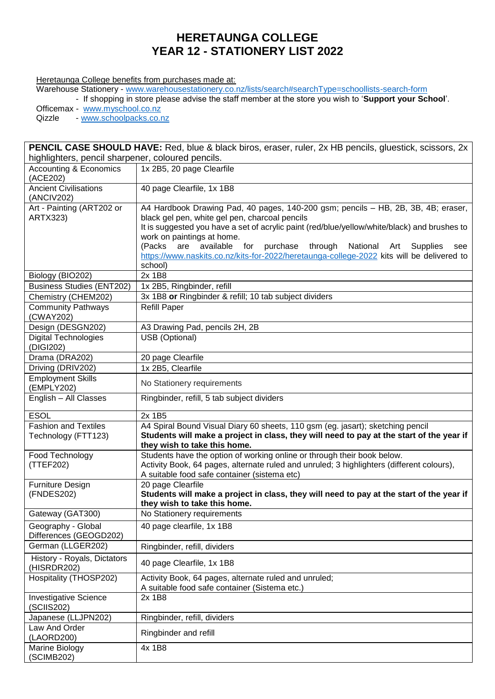## **HERETAUNGA COLLEGE YEAR 12 - STATIONERY LIST 2022**

## Heretaunga College benefits from purchases made at:

Warehouse Stationery - [www.warehousestationery.co.nz/lists/search#searchType=schoollists-search-form](http://www.warehousestationery.co.nz/lists/search#searchType=schoollists-search-form)

- If shopping in store please advise the staff member at the store you wish to '**Support your School**'.

Officemax - [www.myschool.co.nz](http://www.myschool.co.nz/)<br>Qizzle - www.schoolpacks.co.r

- [www.schoolpacks.co.nz](http://www.schoolpacks.co.nz/)

| PENCIL CASE SHOULD HAVE: Red, blue & black biros, eraser, ruler, 2x HB pencils, gluestick, scissors, 2x |                                                                                                                          |  |
|---------------------------------------------------------------------------------------------------------|--------------------------------------------------------------------------------------------------------------------------|--|
| highlighters, pencil sharpener, coloured pencils.                                                       |                                                                                                                          |  |
| <b>Accounting &amp; Economics</b><br>(ACE202)                                                           | 1x 2B5, 20 page Clearfile                                                                                                |  |
| <b>Ancient Civilisations</b><br>(ANCIV202)                                                              | 40 page Clearfile, 1x 1B8                                                                                                |  |
| Art - Painting (ART202 or                                                                               | A4 Hardbook Drawing Pad, 40 pages, 140-200 gsm; pencils - HB, 2B, 3B, 4B; eraser,                                        |  |
| <b>ARTX323)</b>                                                                                         | black gel pen, white gel pen, charcoal pencils                                                                           |  |
|                                                                                                         | It is suggested you have a set of acrylic paint (red/blue/yellow/white/black) and brushes to                             |  |
|                                                                                                         | work on paintings at home.                                                                                               |  |
|                                                                                                         | (Packs are available<br>purchase<br>for<br>through National<br>Supplies<br>Art<br>see                                    |  |
|                                                                                                         | https://www.naskits.co.nz/kits-for-2022/heretaunga-college-2022 kits will be delivered to<br>school)                     |  |
| Biology (BIO202)                                                                                        | 2x 1B8                                                                                                                   |  |
| <b>Business Studies (ENT202)</b>                                                                        | 1x 2B5, Ringbinder, refill                                                                                               |  |
| Chemistry (CHEM202)                                                                                     | 3x 1B8 or Ringbinder & refill; 10 tab subject dividers                                                                   |  |
| <b>Community Pathways</b>                                                                               | Refill Paper                                                                                                             |  |
| (CWAY202)                                                                                               |                                                                                                                          |  |
| Design (DESGN202)                                                                                       | A3 Drawing Pad, pencils 2H, 2B                                                                                           |  |
| <b>Digital Technologies</b><br>(DIGI202)                                                                | USB (Optional)                                                                                                           |  |
| Drama (DRA202)                                                                                          | 20 page Clearfile                                                                                                        |  |
| Driving (DRIV202)                                                                                       | 1x 2B5, Clearfile                                                                                                        |  |
| <b>Employment Skills</b><br>(EMPLY202)                                                                  | No Stationery requirements                                                                                               |  |
| English - All Classes                                                                                   | Ringbinder, refill, 5 tab subject dividers                                                                               |  |
| <b>ESOL</b>                                                                                             | 2x 1B5                                                                                                                   |  |
| <b>Fashion and Textiles</b>                                                                             | A4 Spiral Bound Visual Diary 60 sheets, 110 gsm (eg. jasart); sketching pencil                                           |  |
| Technology (FTT123)                                                                                     | Students will make a project in class, they will need to pay at the start of the year if<br>they wish to take this home. |  |
| Food Technology                                                                                         | Students have the option of working online or through their book below.                                                  |  |
| (TTEF202)                                                                                               | Activity Book, 64 pages, alternate ruled and unruled; 3 highlighters (different colours),                                |  |
|                                                                                                         | A suitable food safe container (sistema etc)                                                                             |  |
| Furniture Design<br>(FNDES202)                                                                          | 20 page Clearfile<br>Students will make a project in class, they will need to pay at the start of the year if            |  |
|                                                                                                         | they wish to take this home.                                                                                             |  |
| Gateway (GAT300)                                                                                        | No Stationery requirements                                                                                               |  |
| Geography - Global<br>Differences (GEOGD202)                                                            | 40 page clearfile, 1x 1B8                                                                                                |  |
| German (LLGER202)                                                                                       | Ringbinder, refill, dividers                                                                                             |  |
| History - Royals, Dictators<br>(HISRDR202)                                                              | 40 page Clearfile, 1x 1B8                                                                                                |  |
| Hospitality (THOSP202)                                                                                  | Activity Book, 64 pages, alternate ruled and unruled;<br>A suitable food safe container (Sistema etc.)                   |  |
| <b>Investigative Science</b><br>(SCIIS202)                                                              | 2x 1B8                                                                                                                   |  |
| Japanese (LLJPN202)                                                                                     | Ringbinder, refill, dividers                                                                                             |  |
| Law And Order<br>(LAORD200)                                                                             | Ringbinder and refill                                                                                                    |  |
| Marine Biology<br>(SCIMB202)                                                                            | 4x 1B8                                                                                                                   |  |